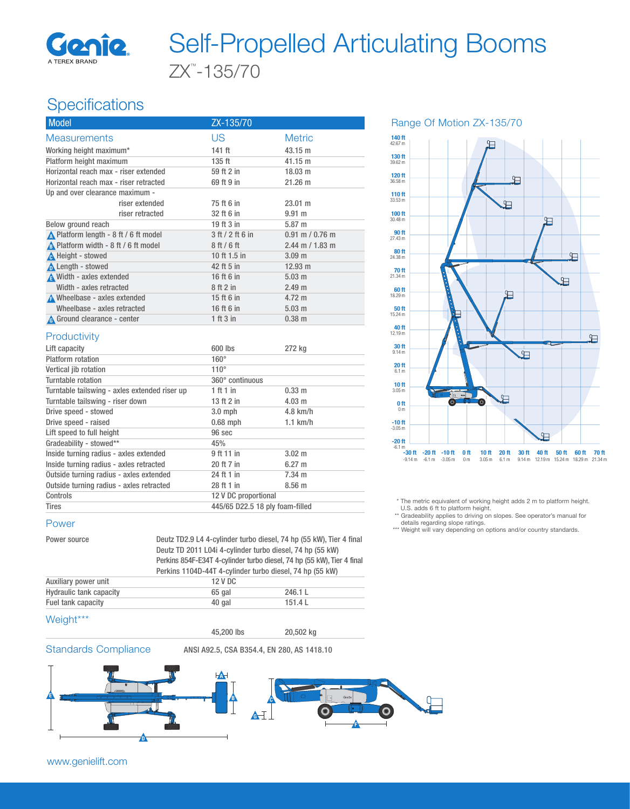

# ZX™ -135/70 Self-Propelled Articulating Booms

# **Specifications**

| <b>Model</b>                                  | ZX-135/70                       |                     |
|-----------------------------------------------|---------------------------------|---------------------|
| <b>Measurements</b>                           | <b>US</b>                       | <b>Metric</b>       |
| Working height maximum*                       | 141 ft                          | 43.15 m             |
| Platform height maximum                       | 135 ft                          | 41.15 m             |
| Horizontal reach max - riser extended         | 59 ft 2 in                      | 18.03 m             |
| Horizontal reach max - riser retracted        | 69 ft 9 in                      | $21.26 \text{ m}$   |
| Up and over clearance maximum -               |                                 |                     |
| riser extended                                | 75 ft 6 in                      | $23.01 \text{ m}$   |
| riser retracted                               | 32 ft 6 in                      | $9.91$ m            |
| Below ground reach                            | 19 ft 3 in                      | 5.87 m              |
| No. Platform length - 8 ft / 6 ft model       | 3 ft / 2 ft 6 in                | $0.91$ m / $0.76$ m |
| A Platform width - 8 ft / 6 ft model          | 8 ft / 6 ft                     | $2.44$ m / 1.83 m   |
| <b>A</b> Height - stowed                      | 10 ft 1.5 in                    | 3.09 <sub>m</sub>   |
| <b>A</b> Length - stowed                      | 42 ft 5 in                      | $12.93 \text{ m}$   |
| Width - axles extended                        | 16 ft 6 in                      | $5.03$ m            |
| Width - axles retracted                       | 8 ft 2 in                       | 2.49 <sub>m</sub>   |
| A Wheelbase - axles extended                  | 15 ft 6 in                      | $4.72 \text{ m}$    |
| Wheelbase - axles retracted                   | 16 ft 6 in                      | $5.03 \text{ m}$    |
| A Ground clearance - center                   | 1 ft 3 in                       | $0.38$ m            |
| Productivity                                  |                                 |                     |
| Lift capacity                                 | 600 lbs                         | 272 kg              |
| <b>Platform</b> rotation                      | $160^\circ$                     |                     |
| Vertical jib rotation                         | $110^\circ$                     |                     |
| Turntable rotation                            | 360° continuous                 |                     |
| Turntable tailswing - axles extended riser up | 1 ft 1 in                       | 0.33 m              |
| Turntable tailswing - riser down              | 13 ft 2 in                      | $4.03$ m            |
| Drive speed - stowed                          | $3.0$ mph                       | $4.8$ km/h          |
| Drive speed - raised                          | $0.68$ mph                      | $1.1$ km/h          |
| Lift speed to full height                     | 96 sec                          |                     |
| Gradeability - stowed**                       | 45%                             |                     |
| Inside turning radius - axles extended        | 9 ft 11 in                      | $3.02 \text{ m}$    |
| Inside turning radius - axles retracted       | 20 ft 7 in                      | $6.27 \text{ m}$    |
| Outside turning radius - axles extended       | 24 ft 1 in                      | $7.34$ m            |
| Outside turning radius - axles retracted      | 28 ft 1 in                      | 8.56 m              |
| Controls                                      | 12 V DC proportional            |                     |
| <b>Tires</b>                                  | 445/65 D22.5 18 ply foam-filled |                     |

#### Power

Power source Deutz TD2.9 L4 4-cylinder turbo diesel, 74 hp (55 kW), Tier 4 final Deutz TD 2011 L04i 4-cylinder turbo diesel, 74 hp (55 kW) Perkins 854F-E34T 4-cylinder turbo diesel, 74 hp (55 kW), Tier 4 final Perkins 1104D-44T 4-cylinder turbo diesel, 74 hp (55 kW) Auxiliary power unit 12 V DC Hydraulic tank capacity **65 gal 1246.1** L Fuel tank capacity and the 40 gal 151.4 L

#### Weight\*\*\*

45,200 lbs 20,502 kg





Range Of Motion ZX-135/70



\* The metric equivalent of working height adds 2 m to platform height.

U.S. adds 6 ft to platform height. \*\* Gradeability applies to driving on slopes. See operator's manual for details regarding slope ratings.

\*\*\* Weight will vary depending on options and/or country standards.

www.genielift.com